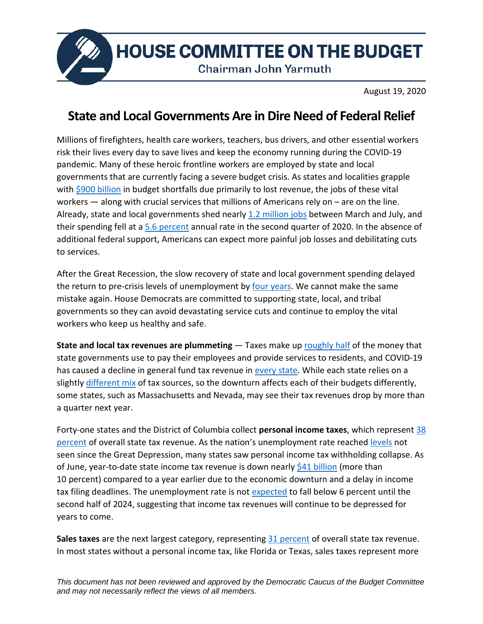

**HOUSE COMMITTEE ON THE BUDGET** 

**Chairman John Yarmuth** 

August 19, 2020

## **State and Local Governments Are in Dire Need of Federal Relief**

Millions of firefighters, health care workers, teachers, bus drivers, and other essential workers risk their lives every day to save lives and keep the economy running during the COVID-19 pandemic. Many of these heroic frontline workers are employed by state and local governments that are currently facing a severe budget crisis. As states and localities grapple with [\\$900 billion](https://www.upjohn.org/research-highlights/updated-proposal-timely-responsive-federal-aid-state-and-local-governments-during-pandemic-recession) in budget shortfalls due primarily to lost revenue, the jobs of these vital workers — along with crucial services that millions of Americans rely on – are on the line. Already, state and local governments shed nearly [1.2 million jobs](https://fred.stlouisfed.org/graph/?g=u142) between March and July, and their spending fell at [a 5.6 percent](https://www.bea.gov/sites/default/files/2020-07/gdp2q20_adv_0.pdf#page=8) annual rate in the second quarter of 2020. In the absence of additional federal support, Americans can expect more painful job losses and debilitating cuts to services.

After the Great Recession, the slow recovery of state and local government spending delayed the return to pre-crisis levels of unemployment by [four years.](https://www.epi.org/blog/a-prolonged-depression-is-guaranteed-without-significant-federal-aid-to-state-and-local-governments/) We cannot make the same mistake again. House Democrats are committed to supporting state, local, and tribal governments so they can avoid devastating service cuts and continue to employ the vital workers who keep us healthy and safe.

**State and local tax revenues are plummeting** — Taxes make up [roughly half](https://www.pewtrusts.org/en/research-and-analysis/data-visualizations/2020/where-states-get-their-money) of the money that state governments use to pay their employees and provide services to residents, and COVID-19 has caused a decline in general fund tax revenue in [every state.](https://www.cbpp.org/research/state-budget-and-tax/states-grappling-with-hit-to-tax-collections) While each state relies on a slightly [different mix](https://www.pewtrusts.org/en/research-and-analysis/data-visualizations/2020/how-states-raise-their-tax-dollars) of tax sources, so the downturn affects each of their budgets differently, some states, such as Massachusetts and Nevada, may see their tax revenues drop by more than a quarter next year.

Forty-one states and the District of Columbia collect **personal income taxes**, which represent [38](https://www.pewtrusts.org/en/research-and-analysis/data-visualizations/2020/how-states-raise-their-tax-dollars)  [percent](https://www.pewtrusts.org/en/research-and-analysis/data-visualizations/2020/how-states-raise-their-tax-dollars) of overall state tax revenue. As the nation's unemployment rate reached [levels](https://www.washingtonpost.com/business/2020/05/08/april-2020-jobs-report/) not seen since the Great Depression, many states saw personal income tax withholding collapse. As of June, year-to-date state income tax revenue is down nearly [\\$41 billion](https://www.urban.org/sites/default/files/2020/08/11/monthlystrh_june2020.pdf) (more than 10 percent) compared to a year earlier due to the economic downturn and a delay in income tax filing deadlines. The unemployment rate is not [expected](https://www.cbo.gov/publication/56465) to fall below 6 percent until the second half of 2024, suggesting that income tax revenues will continue to be depressed for years to come.

**Sales taxes** are the next largest category, representing [31 percent](https://www.pewtrusts.org/en/research-and-analysis/data-visualizations/2020/how-states-raise-their-tax-dollars) of overall state tax revenue. In most states without a personal income tax, like Florida or Texas, sales taxes represent more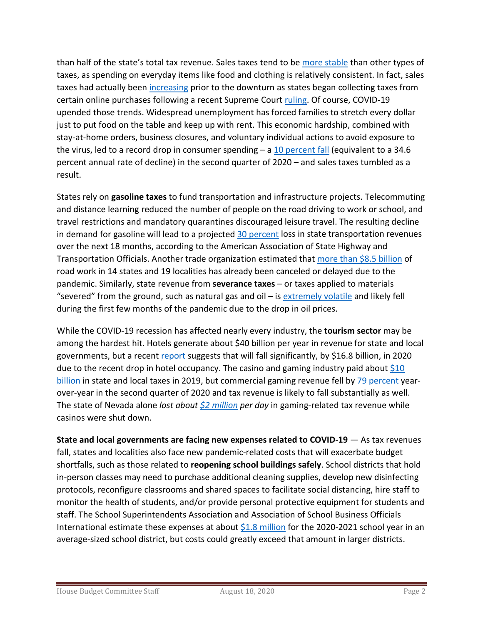than half of the state's total tax revenue. Sales taxes tend to be [more stable](https://www.pewtrusts.org/en/research-and-analysis/articles/2020/07/13/where-states-get-their-money-will-shape-pandemics-fiscal-fallout) than other types of taxes, as spending on everyday items like food and clothing is relatively consistent. In fact, sales taxes had actually been [increasing](https://www.pewtrusts.org/en/research-and-analysis/data-visualizations/2014/fiscal-50#ind0) prior to the downturn as states began collecting taxes from certain online purchases following a recent Supreme Court [ruling.](https://www.nytimes.com/2018/06/21/us/politics/supreme-court-sales-taxes-internet-merchants.html) Of course, COVID-19 upended those trends. Widespread unemployment has forced families to stretch every dollar just to put food on the table and keep up with rent. This economic hardship, combined with stay-at-home orders, business closures, and voluntary individual actions to avoid exposure to the virus, led to a record drop in consumer spending  $-$  a 10 [percent](https://www.bea.gov/sites/default/files/2020-07/gdp2q20_adv.pdf#page=8) fall (equivalent to a 34.6 percent annual rate of decline) in the second quarter of 2020 – and sales taxes tumbled as a result.

States rely on **gasoline taxes** to fund transportation and infrastructure projects. Telecommuting and distance learning reduced the number of people on the road driving to work or school, and travel restrictions and mandatory quarantines discouraged leisure travel. The resulting decline in demand for gasoline will lead to a projected [30 percent](https://aashtojournal.org/2020/04/10/aashto-asks-congress-for-50b-fiscal-backstop-for-state-dots/) loss in state transportation revenues over the next 18 months, according to the American Association of State Highway and Transportation Officials. Another trade organization estimated that [more than \\$8.5 billion](https://www.washingtonpost.com/local/trafficandcommuting/reeling-from-the-loss-of-gas-tax-revenue-during-pandemic-states-are-deferring-billions-of-dollars-of-transportation-projects/2020/07/09/b01c87da-b705-11ea-a510-55bf26485c93_story.html) of road work in 14 states and 19 localities has already been canceled or delayed due to the pandemic. Similarly, state revenue from **severance taxes** – or taxes applied to materials "severed" from the ground, such as natural gas and oil – is [extremely volatile](https://www.taxpolicycenter.org/briefing-book/how-do-state-and-local-severance-taxes-work) and likely fell during the first few months of the pandemic due to the drop in oil prices.

While the COVID-19 recession has affected nearly every industry, the **tourism sector** may be among the hardest hit. Hotels generate about \$40 billion per year in revenue for state and local governments, but a recent [report](https://www.ahla.com/sites/default/files/AHLA%20State%20%20Local%20Tax%20Revenue%20Loss%206-12-20.pdf) suggests that will fall significantly, by \$16.8 billion, in 2020 due to the recent drop in hotel occupancy. The casino and gaming industry paid about  $$10$ [billion](https://www.americangaming.org/resources/state-of-the-states-2020/) in state and local taxes in 2019, but commercial gaming revenue fell by [79 percent](https://www.americangaming.org/new/covid-19-causes-79-year-over-year-drop-in-q2-commercial-casino-gaming-revenue/) yearover-year in the second quarter of 2020 and tax revenue is likely to fall substantially as well. The state of Nevada alone *lost about [\\$2 million](https://lasvegassun.com/news/2020/may/04/sisolak-pandemics-pain-is-only-starting-for-nevada/) per day* in gaming-related tax revenue while casinos were shut down.

**State and local governments are facing new expenses related to COVID-19** — As tax revenues fall, states and localities also face new pandemic-related costs that will exacerbate budget shortfalls, such as those related to **reopening school buildings safely**. School districts that hold in-person classes may need to purchase additional cleaning supplies, develop new disinfecting protocols, reconfigure classrooms and shared spaces to facilitate social distancing, hire staff to monitor the health of students, and/or provide personal protective equipment for students and staff. The School Superintendents Association and Association of School Business Officials International estimate these expenses at about [\\$1.8 million](https://www.asbointl.org/asbo/media/documents/Resources/covid/COVID-19-Costs-to-Reopen-Schools.pdf?utm_source=PDF%20Link%20-%20Reopening%20Schools&utm_medium=Link&utm_campaign=Reopening%20Schools) for the 2020-2021 school year in an average-sized school district, but costs could greatly exceed that amount in larger districts.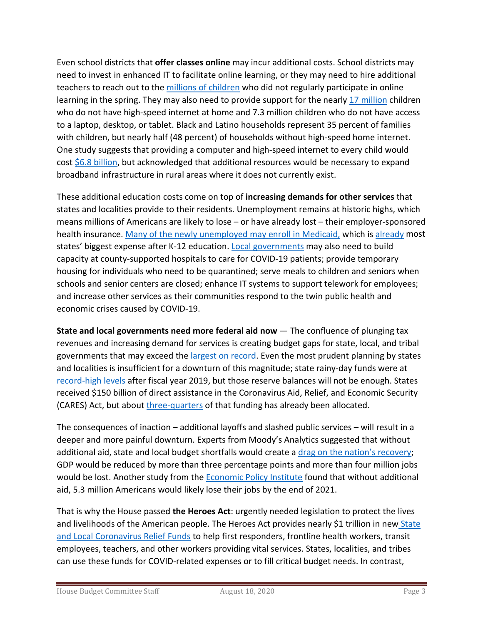Even school districts that **offer classes online** may incur additional costs. School districts may need to invest in enhanced IT to facilitate online learning, or they may need to hire additional teachers to reach out to the [millions of children](https://www.nytimes.com/2020/04/06/us/coronavirus-schools-attendance-absent.html) who did not regularly participate in online learning in the spring. They may also need to provide support for the nearly [17 million](https://futureready.org/homework-gap/) children who do not have high-speed internet at home and 7.3 million children who do not have access to a laptop, desktop, or tablet. Black and Latino households represent 35 percent of families with children, but nearly half (48 percent) of households without high-speed home internet. One study suggests that providing a computer and high-speed internet to every child would cost [\\$6.8 billion,](https://futureready.org/homework-gap/) but acknowledged that additional resources would be necessary to expand broadband infrastructure in rural areas where it does not currently exist.

These additional education costs come on top of **increasing demands for other services** that states and localities provide to their residents. Unemployment remains at historic highs, which means millions of Americans are likely to lose – or have already lost – their employer-sponsored health insurance. Many [of the newly unemployed](https://khn.org/news/the-covid-19-downturn-triggers-jump-in-medicaid-enrollment/) may enroll in Medicaid, which is [already](https://www.pewtrusts.org/en/research-and-analysis/articles/2020/01/09/states-collectively-spend-17-percent-of-their-revenue-on-medicaid) most states' biggest expense after K-12 education. [Local governments](https://www.naco.org/sites/default/files/documents/Impact%20on%20County%20Finances-FINAL-v2.pdf) may also need to build capacity at county-supported hospitals to care for COVID-19 patients; provide temporary housing for individuals who need to be quarantined; serve meals to children and seniors when schools and senior centers are closed; enhance IT systems to support telework for employees; and increase other services as their communities respond to the twin public health and economic crises caused by COVID-19.

**State and local governments need more federal aid now** — The confluence of plunging tax revenues and increasing demand for services is creating budget gaps for state, local, and tribal governments that may exceed th[e largest on record.](https://www.cbpp.org/research/state-budget-and-tax/states-continue-to-face-large-shortfalls-due-to-covid-19-effects) Even the most prudent planning by states and localities is insufficient for a downturn of this magnitude; state rainy-day funds were at [record-high levels](https://www.pewtrusts.org/en/research-and-analysis/articles/2020/03/18/states-financial-reserves-hit-record-highs) after fiscal year 2019, but those reserve balances will not be enough. States received \$150 billion of direct assistance in the Coronavirus Aid, Relief, and Economic Security (CARES) Act, but abou[t three-quarters](https://higherlogicdownload.s3.amazonaws.com/NASBO/9d2d2db1-c943-4f1b-b750-0fca152d64c2/UploadedImages/Documents/NASBO_Statement_on_CRF_Interim_Report_7_29_20.pdf) of that funding has already been allocated.

The consequences of inaction – additional layoffs and slashed public services – will result in a deeper and more painful downturn. Experts from Moody's Analytics suggested that without additional aid, state and local budget shortfalls would create a [drag on the nation's recovery;](https://www.wsj.com/articles/coronavirus-hit-state-budgets-create-a-drag-on-u-s-recovery-11597224600?redirect=amp#click=https://t.co/MBwa6Lqxzq) GDP would be reduced by more than three percentage points and more than four million jobs would be lost. Another study from the [Economic Policy Institute](https://www.epi.org/blog/without-federal-aid-to-state-and-local-governments-5-3-million-workers-will-likely-lose-their-jobs-by-the-end-of-2021-see-estimated-job-losses-by-state/) found that without additional aid, 5.3 million Americans would likely lose their jobs by the end of 2021.

That is why the House passed **the Heroes Act**: urgently needed legislation to protect the lives and livelihoods of the American people. The Heroes Act provides nearly \$1 trillion in new State [and Local Coronavirus Relief Funds](https://appropriations.house.gov/sites/democrats.appropriations.house.gov/files/documents/Heroes%20Act%20State%20and%20Local%20Relief%20Funds.pdf) to help first responders, frontline health workers, transit employees, teachers, and other workers providing vital services. States, localities, and tribes can use these funds for COVID-related expenses or to fill critical budget needs. In contrast,